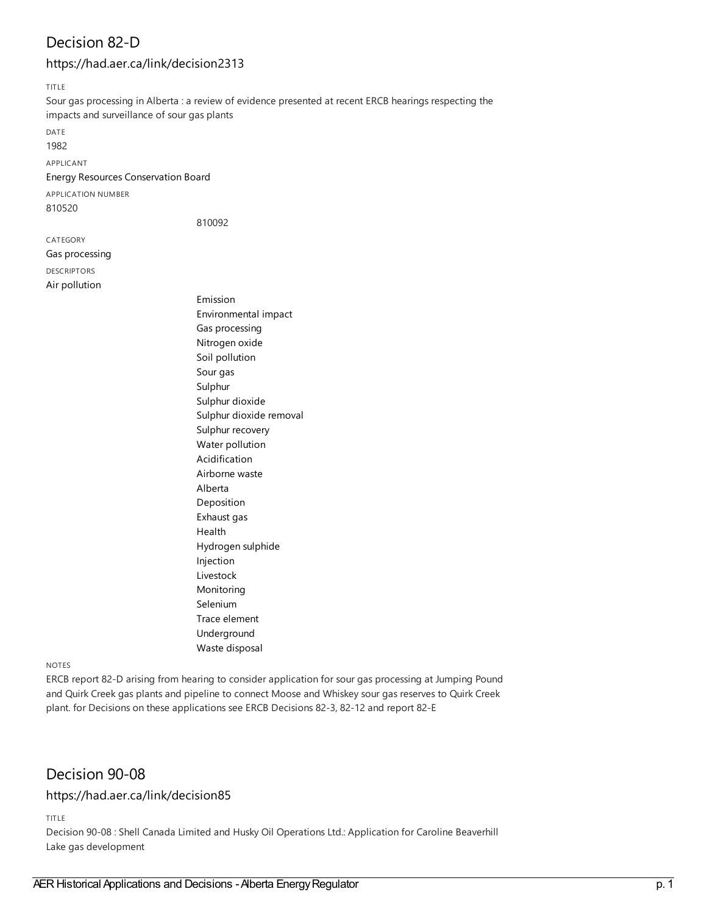# Decision 82-D

## <https://had.aer.ca/link/decision2313>

TITLE

Sour gas processing in Alberta : a review of evidence presented at recent ERCB hearings respecting the impacts and surveillance of sour gas plants

DATE

1982

APPLICANT

#### Energy Resources [Conservation](https://had.aer.ca/list?q=name%253A%2522Energy%20Resources%20Conservation%20Board%2522&p=1&ps=&sort=title_sort%20asc) Board

APPLICATION NUMBER 810520

810092

CATEGORY Gas [processing](https://had.aer.ca/list?q=topic%253A%2522Gas%20processing%2522&p=1&ps=&sort=title_sort%20asc) DESCRIPTORS Air [pollution](https://had.aer.ca/list?q=topic%253A%2522Air%20pollution%2522&p=1&ps=&sort=title_sort%20asc)

[Emission](https://had.aer.ca/list?q=topic%253A%2522Emission%2522&p=1&ps=&sort=title_sort%20asc) [Environmental](https://had.aer.ca/list?q=topic%253A%2522Environmental%20impact%2522&p=1&ps=&sort=title_sort%20asc) impact Gas [processing](https://had.aer.ca/list?q=topic%253A%2522Gas%20processing%2522&p=1&ps=&sort=title_sort%20asc) [Nitrogen](https://had.aer.ca/list?q=topic%253A%2522Nitrogen%20oxide%2522&p=1&ps=&sort=title_sort%20asc) oxide Soil [pollution](https://had.aer.ca/list?q=topic%253A%2522Soil%20pollution%2522&p=1&ps=&sort=title_sort%20asc) [Sour](https://had.aer.ca/list?q=topic%253A%2522Sour%20gas%2522&p=1&ps=&sort=title_sort%20asc) gas [Sulphur](https://had.aer.ca/list?q=topic%253A%2522Sulphur%2522&p=1&ps=&sort=title_sort%20asc) [Sulphur](https://had.aer.ca/list?q=topic%253A%2522Sulphur%20dioxide%2522&p=1&ps=&sort=title_sort%20asc) dioxide Sulphur dioxide [removal](https://had.aer.ca/list?q=topic%253A%2522Sulphur%20dioxide%20removal%2522&p=1&ps=&sort=title_sort%20asc) Sulphur [recovery](https://had.aer.ca/list?q=topic%253A%2522Sulphur%20recovery%2522&p=1&ps=&sort=title_sort%20asc) Water [pollution](https://had.aer.ca/list?q=topic%253A%2522Water%20pollution%2522&p=1&ps=&sort=title_sort%20asc) [Acidification](https://had.aer.ca/list?q=topic%253A%2522Acidification%2522&p=1&ps=&sort=title_sort%20asc) [Airborne](https://had.aer.ca/list?q=topic%253A%2522Airborne%20waste%2522&p=1&ps=&sort=title_sort%20asc) waste [Alberta](https://had.aer.ca/list?q=topic%253A%2522Alberta%2522&p=1&ps=&sort=title_sort%20asc) [Deposition](https://had.aer.ca/list?q=topic%253A%2522Deposition%2522&p=1&ps=&sort=title_sort%20asc) [Exhaust](https://had.aer.ca/list?q=topic%253A%2522Exhaust%20gas%2522&p=1&ps=&sort=title_sort%20asc) gas [Health](https://had.aer.ca/list?q=topic%253A%2522Health%2522&p=1&ps=&sort=title_sort%20asc) [Hydrogen](https://had.aer.ca/list?q=topic%253A%2522Hydrogen%20sulphide%2522&p=1&ps=&sort=title_sort%20asc) sulphide [Injection](https://had.aer.ca/list?q=topic%253A%2522Injection%2522&p=1&ps=&sort=title_sort%20asc) [Livestock](https://had.aer.ca/list?q=topic%253A%2522Livestock%2522&p=1&ps=&sort=title_sort%20asc) [Monitoring](https://had.aer.ca/list?q=topic%253A%2522Monitoring%2522&p=1&ps=&sort=title_sort%20asc) [Selenium](https://had.aer.ca/list?q=topic%253A%2522Selenium%2522&p=1&ps=&sort=title_sort%20asc) Trace [element](https://had.aer.ca/list?q=topic%253A%2522Trace%20element%2522&p=1&ps=&sort=title_sort%20asc) [Underground](https://had.aer.ca/list?q=topic%253A%2522Underground%2522&p=1&ps=&sort=title_sort%20asc) Waste [disposal](https://had.aer.ca/list?q=topic%253A%2522Waste%20disposal%2522&p=1&ps=&sort=title_sort%20asc)

#### NOTES

ERCB report 82-D arising from hearing to consider application for sour gas processing at Jumping Pound and Quirk Creek gas plants and pipeline to connect Moose and Whiskey sour gas reserves to Quirk Creek plant. for Decisions on these applications see ERCB Decisions 82-3, 82-12 and report 82-E

## Decision 90-08

## <https://had.aer.ca/link/decision85>

TITLE

Decision 90-08 : Shell Canada Limited and Husky Oil Operations Ltd.: Application for Caroline Beaverhill Lake gas development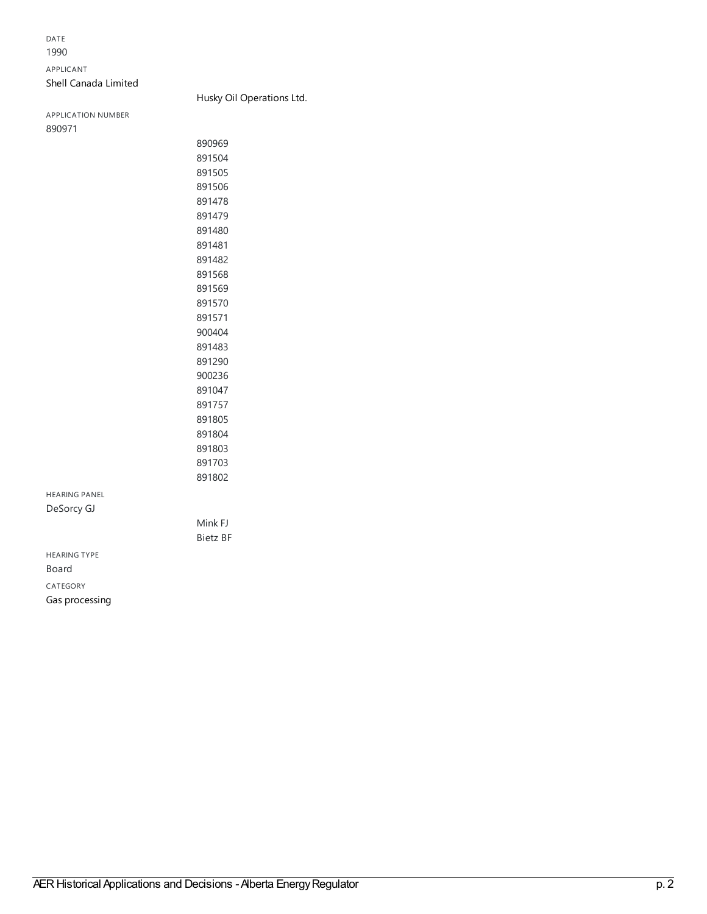### DATE

#### APPLICANT

### Shell [Canada](https://had.aer.ca/list?q=name%253A%2522Shell%20Canada%20Limited%2522&p=1&ps=&sort=title_sort%20asc) Limited

### Husky Oil [Operations](https://had.aer.ca/list?q=name%253A%2522Husky%20Oil%20Operations%20Ltd.%2522&p=1&ps=&sort=title_sort%20asc) Ltd.

APPLICATION NUMBER 

| 890969  |
|---------|
| 891504  |
| 891505  |
| 891506  |
| 891478  |
| 891479  |
| 891480  |
| 891481  |
| 891482  |
| 891568  |
| 891569  |
| 891570  |
| 891571  |
| 900404  |
| 891483  |
| 891290  |
| 900236  |
| 891047  |
| 891757  |
| 891805  |
| 891804  |
| 891803  |
| 891703  |
| 891802  |
|         |
|         |
| Mink FJ |

Bietz BF

HEARING PANEL

DeSorcy GJ

HEARING TYPE Board CATEGORY Gas [processing](https://had.aer.ca/list?q=topic%253A%2522Gas%20processing%2522&p=1&ps=&sort=title_sort%20asc)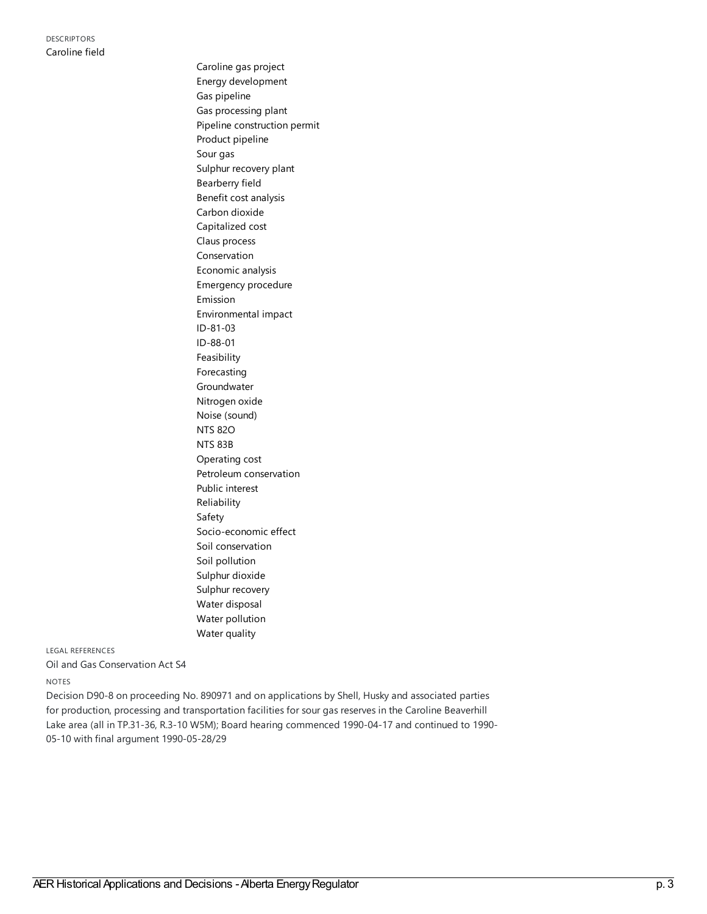[Caroline](https://had.aer.ca/list?q=topic%253A%2522Caroline%20gas%20project%2522&p=1&ps=&sort=title_sort%20asc) gas project Energy [development](https://had.aer.ca/list?q=topic%253A%2522Energy%20development%2522&p=1&ps=&sort=title_sort%20asc) Gas [pipeline](https://had.aer.ca/list?q=topic%253A%2522Gas%20pipeline%2522&p=1&ps=&sort=title_sort%20asc) Gas [processing](https://had.aer.ca/list?q=topic%253A%2522Gas%20processing%20plant%2522&p=1&ps=&sort=title_sort%20asc) plant Pipeline [construction](https://had.aer.ca/list?q=topic%253A%2522Pipeline%20construction%20permit%2522&p=1&ps=&sort=title_sort%20asc) permit Product [pipeline](https://had.aer.ca/list?q=topic%253A%2522Product%20pipeline%2522&p=1&ps=&sort=title_sort%20asc) [Sour](https://had.aer.ca/list?q=topic%253A%2522Sour%20gas%2522&p=1&ps=&sort=title_sort%20asc) gas Sulphur [recovery](https://had.aer.ca/list?q=topic%253A%2522Sulphur%20recovery%20plant%2522&p=1&ps=&sort=title_sort%20asc) plant [Bearberry](https://had.aer.ca/list?q=topic%253A%2522Bearberry%20field%2522&p=1&ps=&sort=title_sort%20asc) field Benefit cost [analysis](https://had.aer.ca/list?q=topic%253A%2522Benefit%20cost%20analysis%2522&p=1&ps=&sort=title_sort%20asc) Carbon [dioxide](https://had.aer.ca/list?q=topic%253A%2522Carbon%20dioxide%2522&p=1&ps=&sort=title_sort%20asc) [Capitalized](https://had.aer.ca/list?q=topic%253A%2522Capitalized%20cost%2522&p=1&ps=&sort=title_sort%20asc) cost Claus [process](https://had.aer.ca/list?q=topic%253A%2522Claus%20process%2522&p=1&ps=&sort=title_sort%20asc) [Conservation](https://had.aer.ca/list?q=topic%253A%2522Conservation%2522&p=1&ps=&sort=title_sort%20asc) [Economic](https://had.aer.ca/list?q=topic%253A%2522Economic%20analysis%2522&p=1&ps=&sort=title_sort%20asc) analysis [Emergency](https://had.aer.ca/list?q=topic%253A%2522Emergency%20procedure%2522&p=1&ps=&sort=title_sort%20asc) procedure [Emission](https://had.aer.ca/list?q=topic%253A%2522Emission%2522&p=1&ps=&sort=title_sort%20asc) [Environmental](https://had.aer.ca/list?q=topic%253A%2522Environmental%20impact%2522&p=1&ps=&sort=title_sort%20asc) impact [ID-81-03](https://had.aer.ca/list?q=topic%253A%2522ID-81-03%2522&p=1&ps=&sort=title_sort%20asc) [ID-88-01](https://had.aer.ca/list?q=topic%253A%2522ID-88-01%2522&p=1&ps=&sort=title_sort%20asc) [Feasibility](https://had.aer.ca/list?q=topic%253A%2522Feasibility%2522&p=1&ps=&sort=title_sort%20asc) [Forecasting](https://had.aer.ca/list?q=topic%253A%2522Forecasting%2522&p=1&ps=&sort=title_sort%20asc) [Groundwater](https://had.aer.ca/list?q=topic%253A%2522Groundwater%2522&p=1&ps=&sort=title_sort%20asc) [Nitrogen](https://had.aer.ca/list?q=topic%253A%2522Nitrogen%20oxide%2522&p=1&ps=&sort=title_sort%20asc) oxide Noise [\(sound\)](https://had.aer.ca/list?q=topic%253A%2522Noise%20(sound)%2522&p=1&ps=&sort=title_sort%20asc) [NTS](https://had.aer.ca/list?q=topic%253A%2522NTS%2082O%2522&p=1&ps=&sort=title_sort%20asc) 82O [NTS](https://had.aer.ca/list?q=topic%253A%2522NTS%2083B%2522&p=1&ps=&sort=title_sort%20asc) 83B [Operating](https://had.aer.ca/list?q=topic%253A%2522Operating%20cost%2522&p=1&ps=&sort=title_sort%20asc) cost Petroleum [conservation](https://had.aer.ca/list?q=topic%253A%2522Petroleum%20conservation%2522&p=1&ps=&sort=title_sort%20asc) Public [interest](https://had.aer.ca/list?q=topic%253A%2522Public%20interest%2522&p=1&ps=&sort=title_sort%20asc) [Reliability](https://had.aer.ca/list?q=topic%253A%2522Reliability%2522&p=1&ps=&sort=title_sort%20asc) [Safety](https://had.aer.ca/list?q=topic%253A%2522Safety%2522&p=1&ps=&sort=title_sort%20asc) [Socio-economic](https://had.aer.ca/list?q=topic%253A%2522Socio-economic%20effect%2522&p=1&ps=&sort=title_sort%20asc) effect Soil [conservation](https://had.aer.ca/list?q=topic%253A%2522Soil%20conservation%2522&p=1&ps=&sort=title_sort%20asc) Soil [pollution](https://had.aer.ca/list?q=topic%253A%2522Soil%20pollution%2522&p=1&ps=&sort=title_sort%20asc) [Sulphur](https://had.aer.ca/list?q=topic%253A%2522Sulphur%20dioxide%2522&p=1&ps=&sort=title_sort%20asc) dioxide Sulphur [recovery](https://had.aer.ca/list?q=topic%253A%2522Sulphur%20recovery%2522&p=1&ps=&sort=title_sort%20asc) Water [disposal](https://had.aer.ca/list?q=topic%253A%2522Water%20disposal%2522&p=1&ps=&sort=title_sort%20asc) Water [pollution](https://had.aer.ca/list?q=topic%253A%2522Water%20pollution%2522&p=1&ps=&sort=title_sort%20asc) Water [quality](https://had.aer.ca/list?q=topic%253A%2522Water%20quality%2522&p=1&ps=&sort=title_sort%20asc)

LEGAL REFERENCES

Oil and Gas Conservation Act S4

NOTES

Decision D90-8 on proceeding No. 890971 and on applications by Shell, Husky and associated parties for production, processing and transportation facilities for sour gas reserves in the Caroline Beaverhill Lake area (all in TP.31-36, R.3-10 W5M); Board hearing commenced 1990-04-17 and continued to 1990- 05-10 with final argument 1990-05-28/29